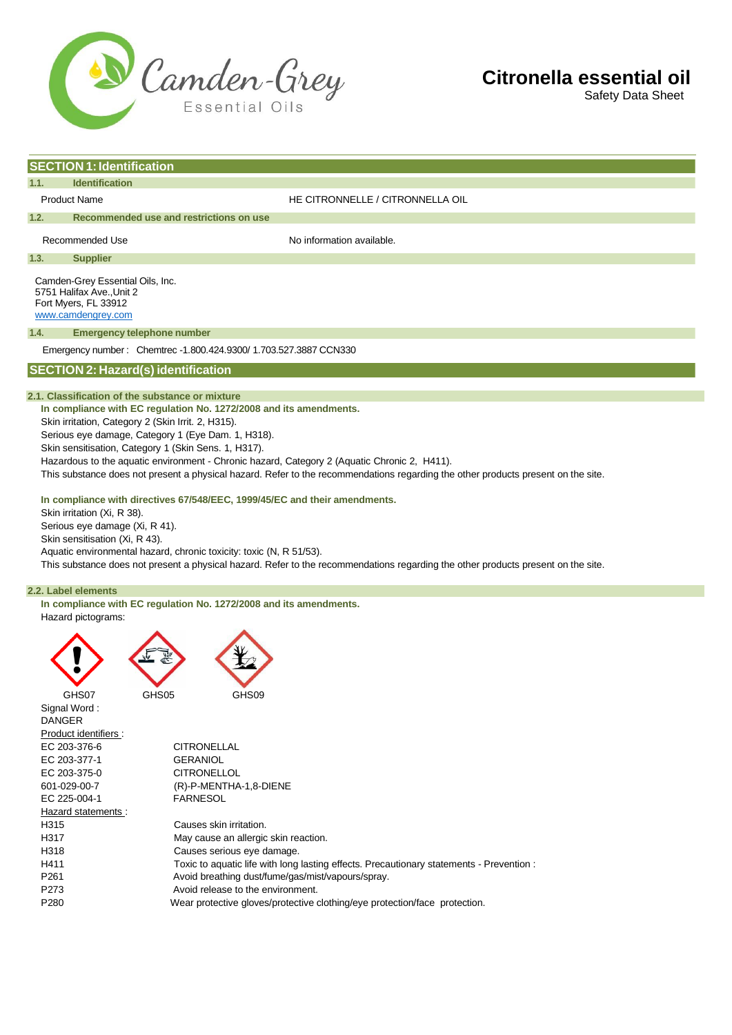

Safety Data Sheet

|                                                                   | <b>SECTION 1: Identification</b>                                                                                                  |                                  |  |  |  |  |  |
|-------------------------------------------------------------------|-----------------------------------------------------------------------------------------------------------------------------------|----------------------------------|--|--|--|--|--|
| 1.1.                                                              | <b>Identification</b>                                                                                                             |                                  |  |  |  |  |  |
|                                                                   | <b>Product Name</b>                                                                                                               | HE CITRONNELLE / CITRONNELLA OIL |  |  |  |  |  |
| 1.2.                                                              | Recommended use and restrictions on use                                                                                           |                                  |  |  |  |  |  |
|                                                                   | Recommended Use                                                                                                                   | No information available.        |  |  |  |  |  |
| 1.3.                                                              | <b>Supplier</b>                                                                                                                   |                                  |  |  |  |  |  |
|                                                                   | Camden-Grey Essential Oils, Inc.<br>5751 Halifax Ave., Unit 2<br>Fort Myers, FL 33912<br>www.camdengrey.com                       |                                  |  |  |  |  |  |
| 1.4.<br><b>Emergency telephone number</b>                         |                                                                                                                                   |                                  |  |  |  |  |  |
| Emergency number: Chemtrec -1.800.424.9300/ 1.703.527.3887 CCN330 |                                                                                                                                   |                                  |  |  |  |  |  |
|                                                                   | <b>SECTION 2: Hazard(s) identification</b>                                                                                        |                                  |  |  |  |  |  |
|                                                                   | 2.1. Classification of the substance or mixture                                                                                   |                                  |  |  |  |  |  |
|                                                                   | In compliance with EC regulation No. 1272/2008 and its amendments.                                                                |                                  |  |  |  |  |  |
| Skin irritation, Category 2 (Skin Irrit. 2, H315).                |                                                                                                                                   |                                  |  |  |  |  |  |
|                                                                   | Serious eye damage, Category 1 (Eye Dam. 1, H318).                                                                                |                                  |  |  |  |  |  |
|                                                                   | Skin sensitisation, Category 1 (Skin Sens. 1, H317).                                                                              |                                  |  |  |  |  |  |
|                                                                   | Hazardous to the aquatic environment - Chronic hazard, Category 2 (Aquatic Chronic 2, H411).                                      |                                  |  |  |  |  |  |
|                                                                   | This substance does not present a physical hazard. Refer to the recommendations regarding the other products present on the site. |                                  |  |  |  |  |  |

#### **In compliance with directives 67/548/EEC, 1999/45/EC and their amendments.**

Skin irritation (Xi, R 38). Serious eye damage (Xi, R 41). Skin sensitisation (Xi, R 43). Aquatic environmental hazard, chronic toxicity: toxic (N, R 51/53).

This substance does not present a physical hazard. Refer to the recommendations regarding the other products present on the site.

# **2.2. Label elements**

**In compliance with EC regulation No. 1272/2008 and its amendments.** Hazard pictograms:

| GHS07                 | GHS05              | GHS09                                |                                                                            |                                                                                          |  |
|-----------------------|--------------------|--------------------------------------|----------------------------------------------------------------------------|------------------------------------------------------------------------------------------|--|
| Signal Word:          |                    |                                      |                                                                            |                                                                                          |  |
| <b>DANGER</b>         |                    |                                      |                                                                            |                                                                                          |  |
| Product identifiers : |                    |                                      |                                                                            |                                                                                          |  |
| EC 203-376-6          | <b>CITRONELLAL</b> |                                      |                                                                            |                                                                                          |  |
| EC 203-377-1          | <b>GERANIOL</b>    |                                      |                                                                            |                                                                                          |  |
| EC 203-375-0          | <b>CITRONELLOL</b> |                                      |                                                                            |                                                                                          |  |
| 601-029-00-7          |                    | (R)-P-MENTHA-1,8-DIENE               |                                                                            |                                                                                          |  |
| EC 225-004-1          | <b>FARNESOL</b>    |                                      |                                                                            |                                                                                          |  |
| Hazard statements:    |                    |                                      |                                                                            |                                                                                          |  |
| H <sub>315</sub>      |                    | Causes skin irritation.              |                                                                            |                                                                                          |  |
| H317                  |                    | May cause an allergic skin reaction. |                                                                            |                                                                                          |  |
| H318                  |                    | Causes serious eye damage.           |                                                                            |                                                                                          |  |
| H411                  |                    |                                      |                                                                            | Toxic to aquatic life with long lasting effects. Precautionary statements - Prevention : |  |
| P <sub>261</sub>      |                    |                                      | Avoid breathing dust/fume/gas/mist/vapours/spray.                          |                                                                                          |  |
| P <sub>273</sub>      |                    | Avoid release to the environment.    |                                                                            |                                                                                          |  |
| P <sub>280</sub>      |                    |                                      | Wear protective gloves/protective clothing/eye protection/face protection. |                                                                                          |  |
|                       |                    |                                      |                                                                            |                                                                                          |  |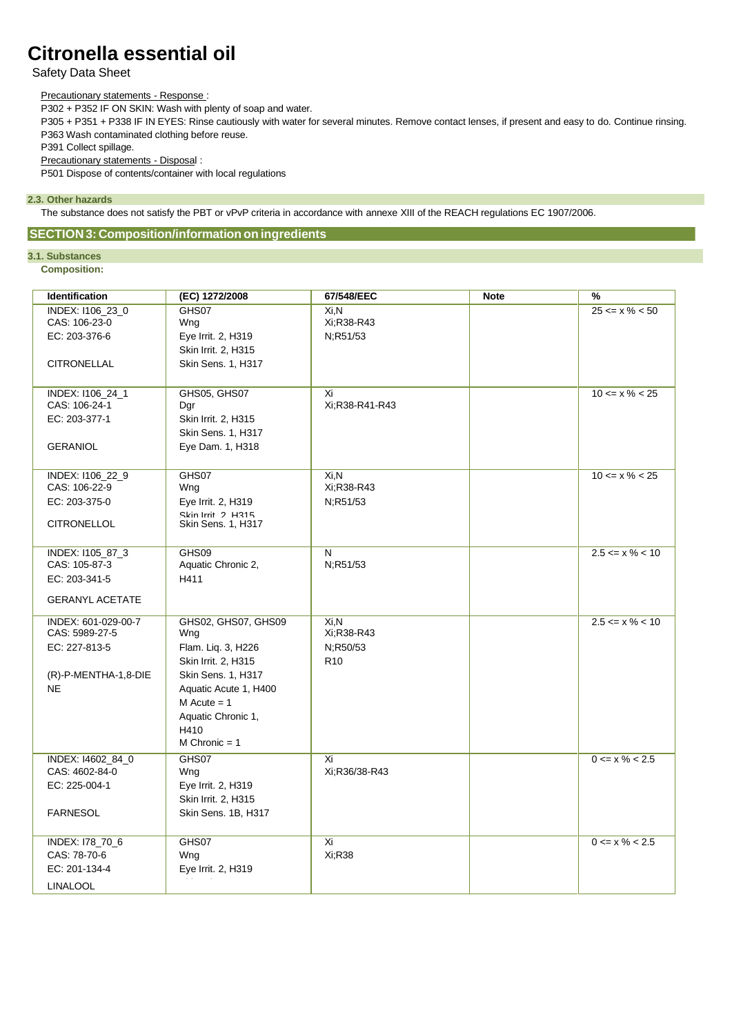# Safety Data Sheet

### Precautionary statements - Response :

P302 + P352 IF ON SKIN: Wash with plenty of soap and water.

P305 + P351 + P338 IF IN EYES: Rinse cautiously with water for several minutes. Remove contact lenses, if present and easy to do. Continue rinsing. P363 Wash contaminated clothing before reuse.

P391 Collect spillage.

Precautionary statements - Disposal :

P501 Dispose of contents/container with local regulations

# **2.3. Other hazards**

The substance does not satisfy the PBT or vPvP criteria in accordance with annexe XIII of the REACH regulations EC 1907/2006.

# **SECTION 3: Composition/information on ingredients**

# **3.1. Substances**

**Composition:**

| Identification                    | (EC) 1272/2008                                 | 67/548/EEC           | <b>Note</b> | %                   |
|-----------------------------------|------------------------------------------------|----------------------|-------------|---------------------|
| INDEX: I106_23_0                  | GHS07                                          | Xi,N                 |             | $25 \le x \% < 50$  |
| CAS: 106-23-0                     | Wng                                            | Xi:R38-R43           |             |                     |
| EC: 203-376-6                     | Eye Irrit. 2, H319                             | N;R51/53             |             |                     |
|                                   | Skin Irrit. 2, H315                            |                      |             |                     |
| <b>CITRONELLAL</b>                | Skin Sens. 1, H317                             |                      |             |                     |
|                                   |                                                |                      |             |                     |
| INDEX: I106_24_1<br>CAS: 106-24-1 | GHS05, GHS07<br>Dgr                            | Xi<br>Xi:R38-R41-R43 |             | $10 \le x \% < 25$  |
| EC: 203-377-1                     | Skin Irrit. 2, H315                            |                      |             |                     |
|                                   | Skin Sens. 1, H317                             |                      |             |                     |
| <b>GERANIOL</b>                   | Eye Dam. 1, H318                               |                      |             |                     |
|                                   |                                                |                      |             |                     |
| INDEX: I106_22_9                  | GHS07                                          | $Xi$ .N              |             | $10 \le x \% < 25$  |
| CAS: 106-22-9                     | Wng                                            | Xi;R38-R43           |             |                     |
| EC: 203-375-0                     | Eye Irrit. 2, H319                             | N;R51/53             |             |                     |
| <b>CITRONELLOL</b>                | Skin Irrit 2 H315<br><b>Skin Sens. 1, H317</b> |                      |             |                     |
|                                   |                                                |                      |             |                     |
| INDEX: I105_87_3                  | GHS09                                          | N                    |             | $2.5 \le x\% < 10$  |
| CAS: 105-87-3                     | Aquatic Chronic 2,                             | N;R51/53             |             |                     |
| EC: 203-341-5                     | H411                                           |                      |             |                     |
| <b>GERANYL ACETATE</b>            |                                                |                      |             |                     |
| INDEX: 601-029-00-7               | GHS02, GHS07, GHS09                            | $Xi$ .N              |             | $2.5 \le x \% < 10$ |
| CAS: 5989-27-5                    | Wng                                            | Xi;R38-R43           |             |                     |
| EC: 227-813-5                     | Flam. Lig. 3, H226                             | N;R50/53             |             |                     |
|                                   | Skin Irrit. 2, H315                            | R <sub>10</sub>      |             |                     |
| (R)-P-MENTHA-1,8-DIE<br><b>NE</b> | Skin Sens. 1, H317<br>Aquatic Acute 1, H400    |                      |             |                     |
|                                   | $M$ Acute = 1                                  |                      |             |                     |
|                                   | Aquatic Chronic 1,                             |                      |             |                     |
|                                   | H410                                           |                      |             |                     |
|                                   | $M$ Chronic = 1                                |                      |             |                     |
| INDEX: 14602_84_0                 | GHS07                                          | Xi                   |             | $0 \le x \% < 2.5$  |
| CAS: 4602-84-0                    | Wng                                            | Xi;R36/38-R43        |             |                     |
| EC: 225-004-1                     | Eye Irrit. 2, H319                             |                      |             |                     |
|                                   | Skin Irrit. 2, H315                            |                      |             |                     |
| <b>FARNESOL</b>                   | Skin Sens. 1B, H317                            |                      |             |                     |
| INDEX: I78_70_6                   | GHS07                                          | Xi                   |             | $0 \le x \% < 2.5$  |
| CAS: 78-70-6                      | Wng                                            | Xi;R38               |             |                     |
| EC: 201-134-4                     | Eye Irrit. 2, H319                             |                      |             |                     |
| <b>LINALOOL</b>                   |                                                |                      |             |                     |
|                                   |                                                |                      |             |                     |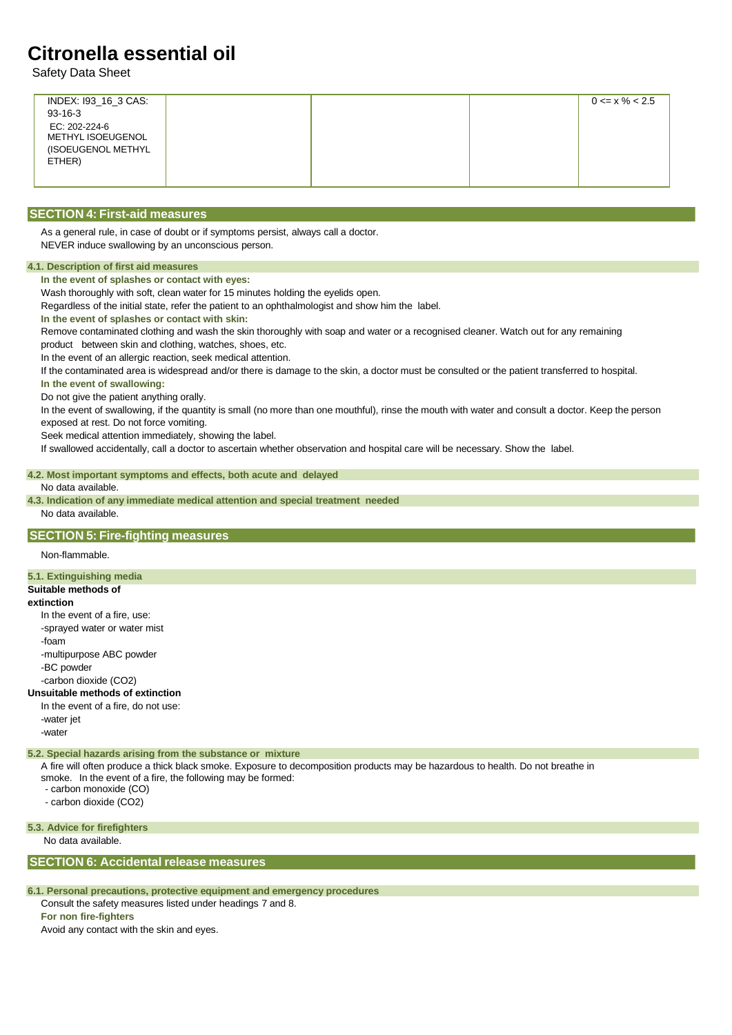Safety Data Sheet

| INDEX: 193_16_3 CAS:         |  | $0 \le x \% < 2.5$ |
|------------------------------|--|--------------------|
| $93 - 16 - 3$                |  |                    |
| EC: 202-224-6                |  |                    |
| METHYL ISOEUGENOL            |  |                    |
| (ISOEUGENOL METHYL<br>ETHER) |  |                    |
|                              |  |                    |
|                              |  |                    |

# **SECTION 4: First-aid measures**

As a general rule, in case of doubt or if symptoms persist, always call a doctor. NEVER induce swallowing by an unconscious person.

## **4.1. Description of first aid measures**

**In the event of splashes or contact with eyes:**

Wash thoroughly with soft, clean water for 15 minutes holding the eyelids open.

Regardless of the initial state, refer the patient to an ophthalmologist and show him the label.

**In the event of splashes or contact with skin:**

Remove contaminated clothing and wash the skin thoroughly with soap and water or a recognised cleaner. Watch out for any remaining product between skin and clothing, watches, shoes, etc.

In the event of an allergic reaction, seek medical attention.

If the contaminated area is widespread and/or there is damage to the skin, a doctor must be consulted or the patient transferred to hospital.

**In the event of swallowing:**

Do not give the patient anything orally.

In the event of swallowing, if the quantity is small (no more than one mouthful), rinse the mouth with water and consult a doctor. Keep the person exposed at rest. Do not force vomiting.

Seek medical attention immediately, showing the label.

If swallowed accidentally, call a doctor to ascertain whether observation and hospital care will be necessary. Show the label.

## **4.2. Most important symptoms and effects, both acute and delayed**

#### No data available.

**4.3. Indication of any immediate medical attention and special treatment needed** No data available.

# **SECTION 5: Fire-fighting measures**

Non-flammable.

# **5.1. Extinguishing media**

# **Suitable methods of**

#### **extinction**

In the event of a fire, use: -sprayed water or water mist -foam -multipurpose ABC powder -BC powder -carbon dioxide (CO2)

#### **Unsuitable methods of extinction**

In the event of a fire, do not use: -water jet -water

## **5.2. Special hazards arising from the substance or mixture**

A fire will often produce a thick black smoke. Exposure to decomposition products may be hazardous to health. Do not breathe in

smoke. In the event of a fire, the following may be formed:

- carbon monoxide (CO)

- carbon dioxide (CO2)

#### **5.3. Advice for firefighters**

No data available.

# **SECTION 6: Accidental release measures**

#### **6.1. Personal precautions, protective equipment and emergency procedures**

Consult the safety measures listed under headings 7 and 8.

**For non fire-fighters**

Avoid any contact with the skin and eyes.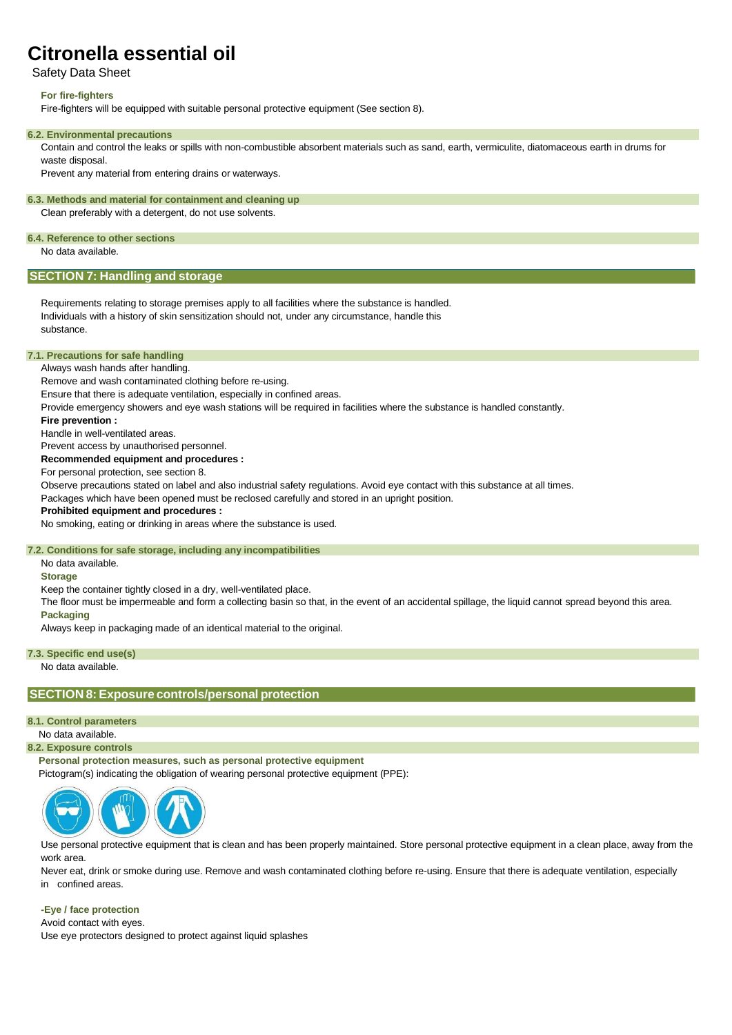# Safety Data Sheet

## **For fire-fighters**

Fire-fighters will be equipped with suitable personal protective equipment (See section 8).

#### **6.2. Environmental precautions**

Contain and control the leaks or spills with non-combustible absorbent materials such as sand, earth, vermiculite, diatomaceous earth in drums for waste disposal.

Prevent any material from entering drains or waterways.

### **6.3. Methods and material for containment and cleaning up**

Clean preferably with a detergent, do not use solvents.

# **6.4. Reference to other sections**

No data available.

# **SECTION 7: Handling and storage**

Requirements relating to storage premises apply to all facilities where the substance is handled. Individuals with a history of skin sensitization should not, under any circumstance, handle this substance.

### **7.1. Precautions for safe handling**

Always wash hands after handling.

Remove and wash contaminated clothing before re-using.

Ensure that there is adequate ventilation, especially in confined areas.

Provide emergency showers and eye wash stations will be required in facilities where the substance is handled constantly.

#### **Fire prevention :**

Handle in well-ventilated areas.

Prevent access by unauthorised personnel.

**Recommended equipment and procedures :**

For personal protection, see section 8.

Observe precautions stated on label and also industrial safety regulations. Avoid eye contact with this substance at all times.

Packages which have been opened must be reclosed carefully and stored in an upright position.

### **Prohibited equipment and procedures :**

No smoking, eating or drinking in areas where the substance is used.

#### **7.2. Conditions for safe storage, including any incompatibilities**

No data available.

**Storage**

Keep the container tightly closed in a dry, well-ventilated place.

The floor must be impermeable and form a collecting basin so that, in the event of an accidental spillage, the liquid cannot spread beyond this area. **Packaging**

Always keep in packaging made of an identical material to the original.

#### **7.3. Specific end use(s)**

No data available.

# **SECTION 8: Exposure controls/personal protection**

### **8.1. Control parameters**

No data available.

# **8.2. Exposure controls**

**Personal protection measures, such as personal protective equipment**

Pictogram(s) indicating the obligation of wearing personal protective equipment (PPE):



Use personal protective equipment that is clean and has been properly maintained. Store personal protective equipment in a clean place, away from the work area.

Never eat, drink or smoke during use. Remove and wash contaminated clothing before re-using. Ensure that there is adequate ventilation, especially in confined areas.

### **-Eye / face protection**

Avoid contact with eyes.

Use eye protectors designed to protect against liquid splashes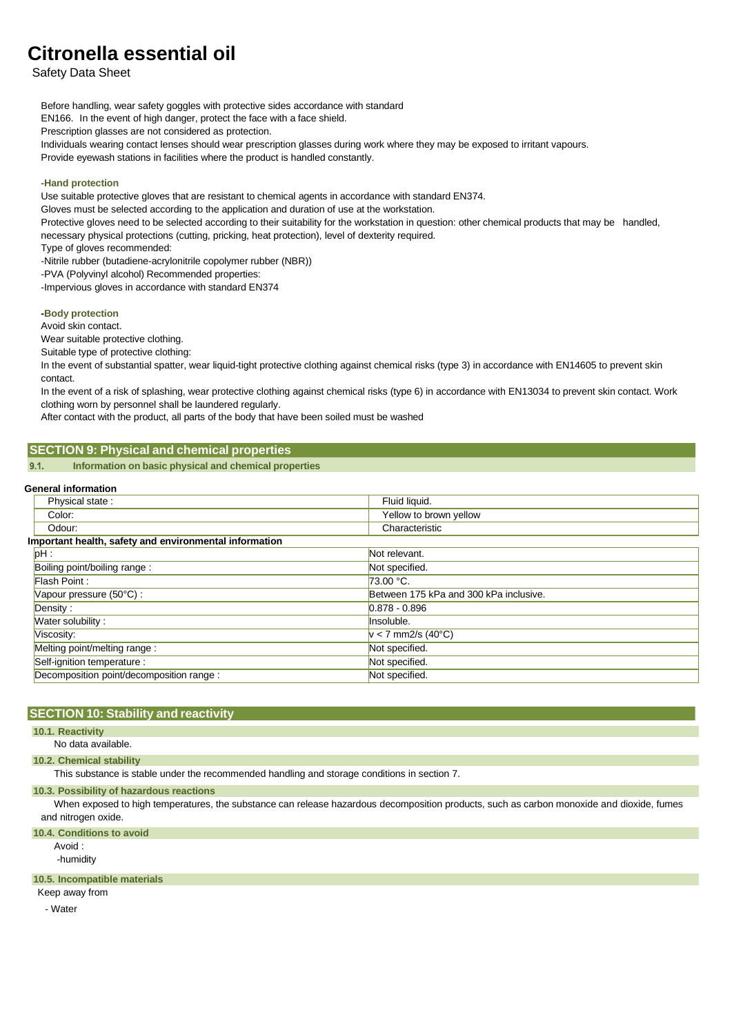Safety Data Sheet

Before handling, wear safety goggles with protective sides accordance with standard

EN166. In the event of high danger, protect the face with a face shield.

Prescription glasses are not considered as protection.

Individuals wearing contact lenses should wear prescription glasses during work where they may be exposed to irritant vapours.

Provide eyewash stations in facilities where the product is handled constantly.

# **-Hand protection**

Use suitable protective gloves that are resistant to chemical agents in accordance with standard EN374.

Gloves must be selected according to the application and duration of use at the workstation.

Protective gloves need to be selected according to their suitability for the workstation in question: other chemical products that may be handled, necessary physical protections (cutting, pricking, heat protection), level of dexterity required.

Type of gloves recommended:

-Nitrile rubber (butadiene-acrylonitrile copolymer rubber (NBR))

-PVA (Polyvinyl alcohol) Recommended properties:

-Impervious gloves in accordance with standard EN374

# **-Body protection**

Avoid skin contact.

Wear suitable protective clothing.

Suitable type of protective clothing:

In the event of substantial spatter, wear liquid-tight protective clothing against chemical risks (type 3) in accordance with EN14605 to prevent skin contact.

In the event of a risk of splashing, wear protective clothing against chemical risks (type 6) in accordance with EN13034 to prevent skin contact. Work clothing worn by personnel shall be laundered regularly.

After contact with the product, all parts of the body that have been soiled must be washed

# **SECTION 9: Physical and chemical properties**

**Information on basic physical and chemical properties**  $9.1.$ 

#### **General information**

| Physical state:                                        | Fluid liquid.                          |  |  |  |  |  |
|--------------------------------------------------------|----------------------------------------|--|--|--|--|--|
| Color:                                                 | Yellow to brown yellow                 |  |  |  |  |  |
| Odour:                                                 | Characteristic                         |  |  |  |  |  |
| Important health, safety and environmental information |                                        |  |  |  |  |  |
| ph:                                                    | Not relevant.                          |  |  |  |  |  |
| Boiling point/boiling range:                           | Not specified.                         |  |  |  |  |  |
| Flash Point:                                           | 73.00 °C.                              |  |  |  |  |  |
| Vapour pressure (50°C) :                               | Between 175 kPa and 300 kPa inclusive. |  |  |  |  |  |
| Density:                                               | $0.878 - 0.896$                        |  |  |  |  |  |
| Water solubility:                                      | Insoluble.                             |  |  |  |  |  |
| Viscosity:                                             | $v < 7$ mm2/s (40°C)                   |  |  |  |  |  |
| Melting point/melting range :                          | Not specified.                         |  |  |  |  |  |
| Self-ignition temperature :                            | Not specified.                         |  |  |  |  |  |
| Decomposition point/decomposition range :              | Not specified.                         |  |  |  |  |  |
|                                                        |                                        |  |  |  |  |  |

# **SECTION 10: Stability and reactivity**

**10.1. Reactivity**

#### No data available.

#### **10.2. Chemical stability**

This substance is stable under the recommended handling and storage conditions in section 7.

#### **10.3. Possibility of hazardous reactions**

When exposed to high temperatures, the substance can release hazardous decomposition products, such as carbon monoxide and dioxide, fumes and nitrogen oxide.

# **10.4. Conditions to avoid**

Avoid :

# -humidity

# **10.5. Incompatible materials**

Keep away from

- Water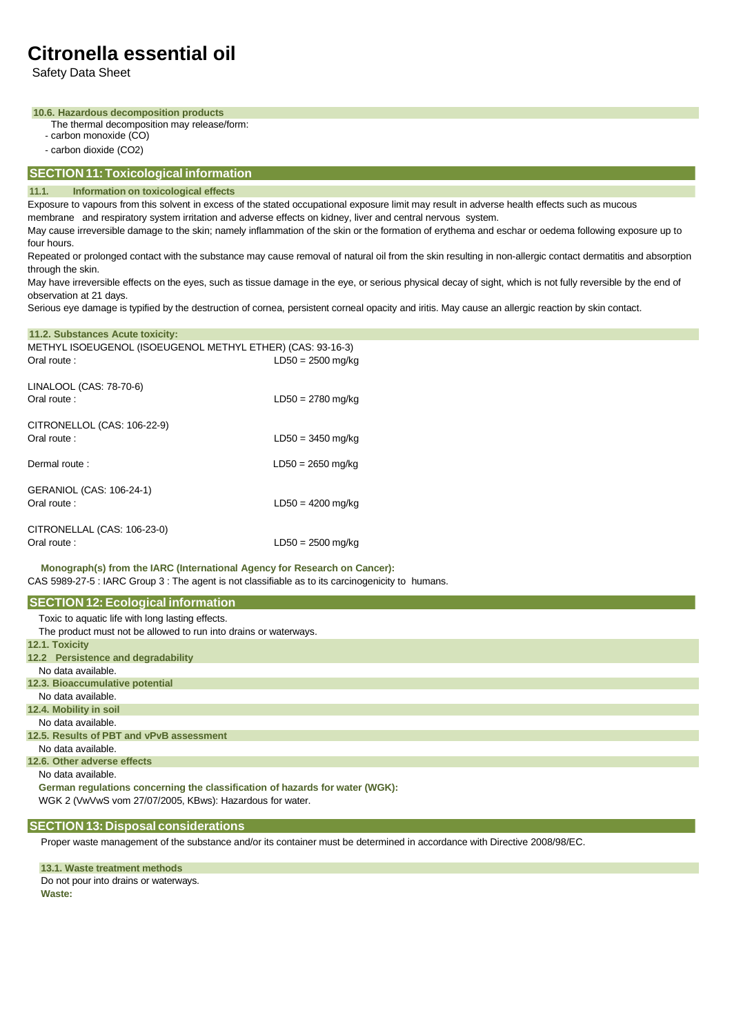Safety Data Sheet

### **10.6. Hazardous decomposition products**

- The thermal decomposition may release/form:
- carbon monoxide (CO)

**11.2. Substances Acute toxicity:**

- carbon dioxide (CO2)

# **SECTION 11:Toxicological information**

### **11.1. Information on toxicological effects**

Exposure to vapours from this solvent in excess of the stated occupational exposure limit may result in adverse health effects such as mucous membrane and respiratory system irritation and adverse effects on kidney, liver and central nervous system.

May cause irreversible damage to the skin; namely inflammation of the skin or the formation of erythema and eschar or oedema following exposure up to four hours.

Repeated or prolonged contact with the substance may cause removal of natural oil from the skin resulting in non-allergic contact dermatitis and absorption through the skin.

May have irreversible effects on the eyes, such as tissue damage in the eye, or serious physical decay of sight, which is not fully reversible by the end of observation at 21 days.

Serious eye damage is typified by the destruction of cornea, persistent corneal opacity and iritis. May cause an allergic reaction by skin contact.

| <b>I</b> I.L. Capstances Acate toxicity.                                  |                     |
|---------------------------------------------------------------------------|---------------------|
| METHYL ISOEUGENOL (ISOEUGENOL METHYL ETHER) (CAS: 93-16-3)<br>Oral route: | $LD50 = 2500$ mg/kg |
|                                                                           |                     |
| LINALOOL (CAS: 78-70-6)<br>Oral route:                                    | $LD50 = 2780$ mg/kg |
|                                                                           |                     |
| CITRONELLOL (CAS: 106-22-9)<br>Oral route:                                | $LD50 = 3450$ mg/kg |
| Dermal route:                                                             | $LD50 = 2650$ mg/kg |
|                                                                           |                     |
| GERANIOL (CAS: 106-24-1)<br>Oral route:                                   | $LD50 = 4200$ mg/kg |
|                                                                           |                     |
| CITRONELLAL (CAS: 106-23-0)<br>Oral route:                                | $LD50 = 2500$ mg/kg |
|                                                                           |                     |

**Monograph(s) from the IARC (International Agency for Research on Cancer):** CAS 5989-27-5 : IARC Group 3 : The agent is not classifiable as to its carcinogenicity to humans.

| <b>SECTION 12: Ecological information</b>                                    |
|------------------------------------------------------------------------------|
| Toxic to aquatic life with long lasting effects.                             |
| The product must not be allowed to run into drains or waterways.             |
| 12.1. Toxicity                                                               |
| 12.2 Persistence and degradability                                           |
| No data available.                                                           |
| 12.3. Bioaccumulative potential                                              |
| No data available.                                                           |
| 12.4. Mobility in soil                                                       |
| No data available.                                                           |
| 12.5. Results of PBT and vPvB assessment                                     |
| No data available.                                                           |
| 12.6. Other adverse effects                                                  |
| No data available.                                                           |
| German regulations concerning the classification of hazards for water (WGK): |
| WGK 2 (VwVwS vom 27/07/2005, KBws): Hazardous for water.                     |

# **SECTION 13: Disposal considerations**

Proper waste management of the substance and/or its container must be determined in accordance with Directive 2008/98/EC.

**13.1. Waste treatment methods** Do not pour into drains or waterways. **Waste:**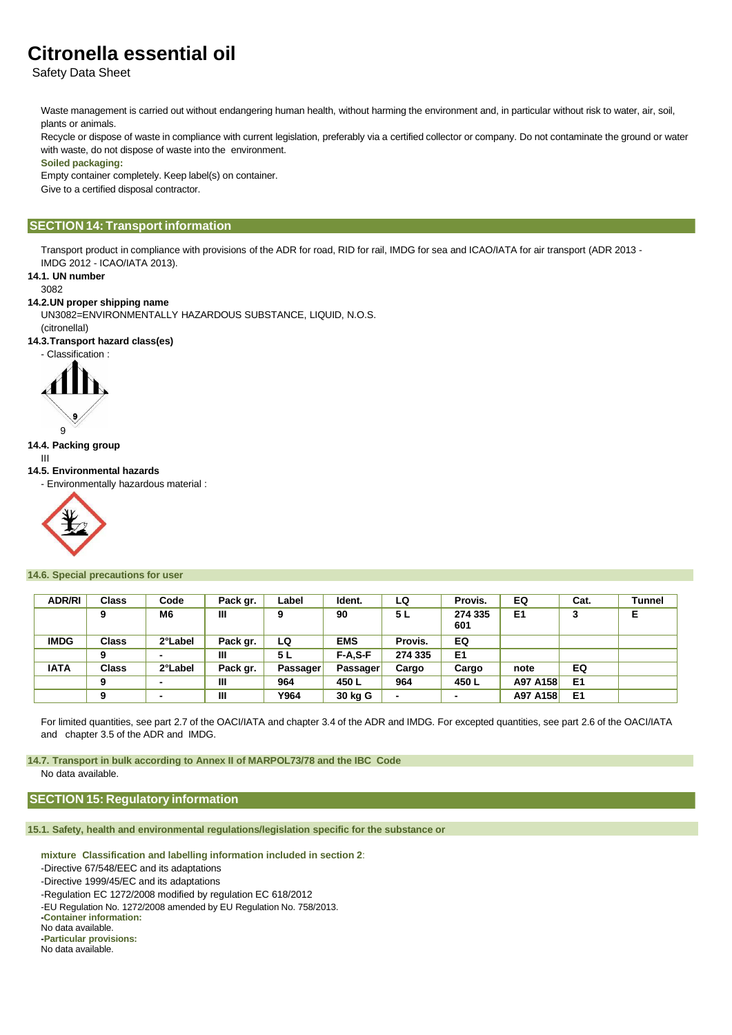Safety Data Sheet

Waste management is carried out without endangering human health, without harming the environment and, in particular without risk to water, air, soil, plants or animals.

Recycle or dispose of waste in compliance with current legislation, preferably via a certified collector or company. Do not contaminate the ground or water with waste, do not dispose of waste into the environment.

#### **Soiled packaging:**

Empty container completely. Keep label(s) on container.

Give to a certified disposal contractor.

# **SECTION 14: Transport information**

Transport product in compliance with provisions of the ADR for road, RID for rail, IMDG for sea and ICAO/IATA for air transport (ADR 2013 - IMDG 2012 - ICAO/IATA 2013).

**14.1. UN number**

#### 3082

# **14.2.UN proper shipping name**

UN3082=ENVIRONMENTALLY HAZARDOUS SUBSTANCE, LIQUID, N.O.S.

(citronellal)

**14.3.Transport hazard class(es)**





**14.4. Packing group**

9

III

# **14.5. Environmental hazards**

- Environmentally hazardous material :



### **14.6. Special precautions for user**

| <b>ADR/RI</b> | <b>Class</b> | Code                     | Pack gr. | Label           | Ident.          | LQ      | Provis.        | EQ             | Cat.           | Tunnel |
|---------------|--------------|--------------------------|----------|-----------------|-----------------|---------|----------------|----------------|----------------|--------|
|               | 9            | M6                       | Ш        | 9               | 90              | 5 L     | 274 335<br>601 | E <sub>1</sub> | 3              | Е      |
| <b>IMDG</b>   | <b>Class</b> | 2°Label                  | Pack gr. | LQ              | <b>EMS</b>      | Provis. | EQ             |                |                |        |
|               | 9            | $\blacksquare$           | Ш        | 5 L             | $F-A.S-F$       | 274 335 | E <sub>1</sub> |                |                |        |
| <b>IATA</b>   | <b>Class</b> | 2°Label                  | Pack gr. | <b>Passager</b> | <b>Passager</b> | Cargo   | Cargo          | note           | EQ             |        |
|               | 9            | $\overline{\phantom{0}}$ | Ш        | 964             | 450 L           | 964     | 450 L          | A97 A158       | E <sub>1</sub> |        |
|               | 9            | $\overline{\phantom{0}}$ | Ш        | Y964            | 30 kg G         |         |                | A97 A158       | E <sub>1</sub> |        |

For limited quantities, see part 2.7 of the OACI/IATA and chapter 3.4 of the ADR and IMDG. For excepted quantities, see part 2.6 of the OACI/IATA and chapter 3.5 of the ADR and IMDG.

**14.7. Transport in bulk according to Annex II of MARPOL73/78 and the IBC Code** No data available.

# **SECTION 15: Regulatory information**

**15.1. Safety, health and environmental regulations/legislation specific for the substance or**

**mixture Classification and labelling information included in section 2**:

-Directive 67/548/EEC and its adaptations

-Directive 1999/45/EC and its adaptations

-Regulation EC 1272/2008 modified by regulation EC 618/2012

-EU Regulation No. 1272/2008 amended by EU Regulation No. 758/2013.

**-Container information:**

No data available.

**-Particular provisions:** No data available.